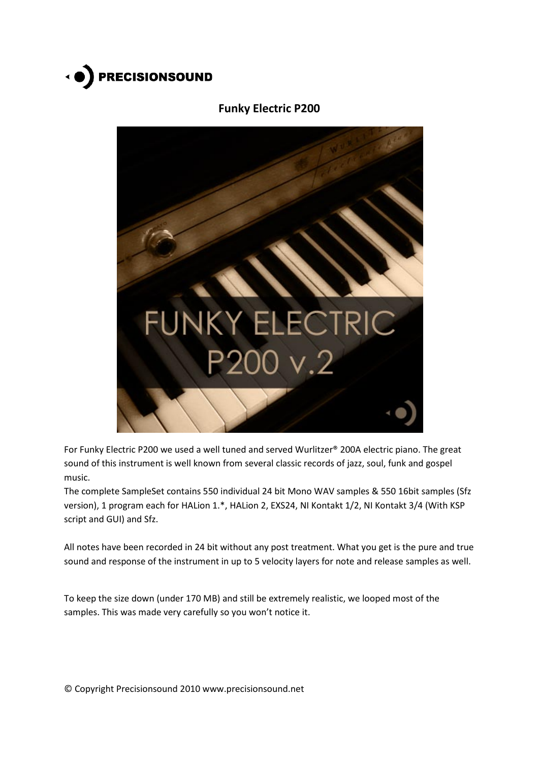

# **Funky Electric P200**



For Funky Electric P200 we used a well tuned and served Wurlitzer® 200A electric piano. The great sound of this instrument is well known from several classic records of jazz, soul, funk and gospel music.

The complete SampleSet contains 550 individual 24 bit Mono WAV samples & 550 16bit samples (Sfz version), 1 program each for HALion 1.\*, HALion 2, EXS24, NI Kontakt 1/2, NI Kontakt 3/4 (With KSP script and GUI) and Sfz.

All notes have been recorded in 24 bit without any post treatment. What you get is the pure and true sound and response of the instrument in up to 5 velocity layers for note and release samples as well.

To keep the size down (under 170 MB) and still be extremely realistic, we looped most of the samples. This was made very carefully so you won't notice it.

© Copyright Precisionsound 2010 www.precisionsound.net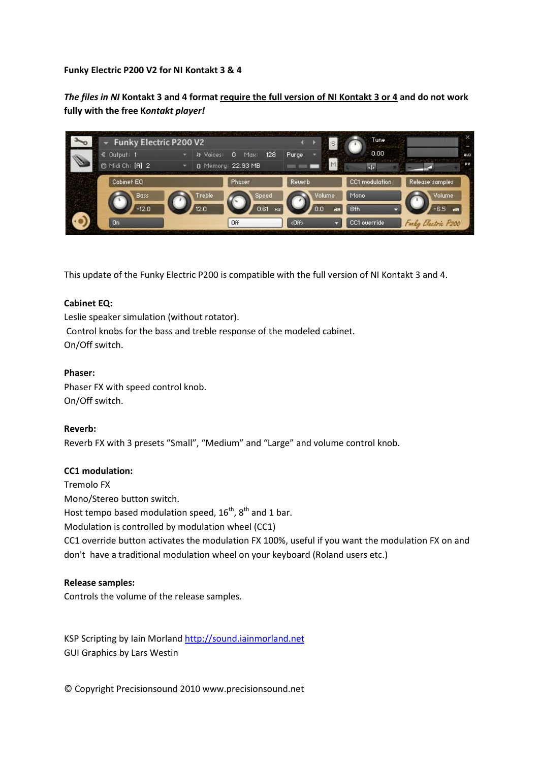**Funky Electric P200 V2 for NI Kontakt 3 & 4**

*The files in NI* **Kontakt 3 and 4 format require the full version of NI Kontakt 3 or 4 and do not work fully with the free K***ontakt player!*



This update of the Funky Electric P200 is compatible with the full version of NI Kontakt 3 and 4.

## **Cabinet EQ:**

Leslie speaker simulation (without rotator). Control knobs for the bass and treble response of the modeled cabinet. On/Off switch.

## **Phaser:**

Phaser FX with speed control knob. On/Off switch.

## **Reverb:**

Reverb FX with 3 presets "Small", "Medium" and "Large" and volume control knob.

#### **CC1 modulation:**

Tremolo FX Mono/Stereo button switch. Host tempo based modulation speed,  $16^{th}$ ,  $8^{th}$  and 1 bar. Modulation is controlled by modulation wheel (CC1) CC1 override button activates the modulation FX 100%, useful if you want the modulation FX on and don't have a traditional modulation wheel on your keyboard (Roland users etc.)

#### **Release samples:**

Controls the volume of the release samples.

KSP Scripting by Iain Morland [http://sound.iainmorland.net](http://sound.iainmorland.net/) GUI Graphics by Lars Westin

© Copyright Precisionsound 2010 www.precisionsound.net